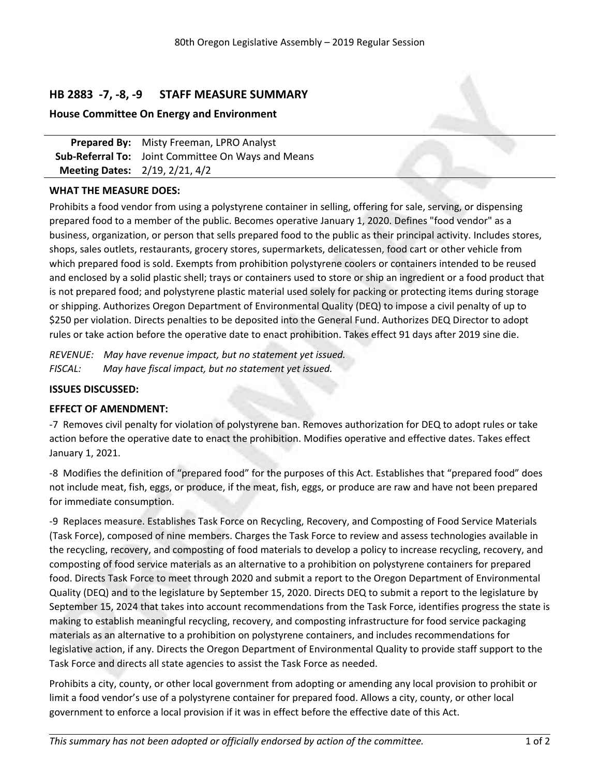# **HB 2883 -7, -8, -9 STAFF MEASURE SUMMARY**

# **House Committee On Energy and Environment**

**Prepared By:** Misty Freeman, LPRO Analyst **Sub-Referral To:** Joint Committee On Ways and Means **Meeting Dates:** 2/19, 2/21, 4/2

# **WHAT THE MEASURE DOES:**

Prohibits <sup>a</sup> food vendor from using <sup>a</sup> polystyrene container in selling, offering for sale, serving, or dispensing prepared food to <sup>a</sup> member of the public. Becomes operative January 1, 2020. Defines "food vendor" as <sup>a</sup> business, organization, or person that sells prepared food to the public as their principal activity. Includes stores, shops, sales outlets, restaurants, grocery stores, supermarkets, delicatessen, food cart or other vehicle from which prepared food is sold. Exempts from prohibition polystyrene coolers or containers intended to be reused and enclosed by <sup>a</sup> solid plastic shell; trays or containers used to store or ship an ingredient or <sup>a</sup> food product that is not prepared food; and polystyrene plastic material used solely for packing or protecting items during storage or shipping. Authorizes Oregon Department of Environmental Quality (DEQ) to impose <sup>a</sup> civil penalty of up to \$250 per violation. Directs penalties to be deposited into the General Fund. Authorizes DEQ Director to adopt rules or take action before the operative date to enact prohibition. Takes effect 91 days after 2019 sine die.

*REVENUE: May have revenue impact, but no statement yet issued. FISCAL: May have fiscal impact, but no statement yet issued.*

## **ISSUES DISCUSSED:**

#### **EFFECT OF AMENDMENT:**

-7 Removes civil penalty for violation of polystyrene ban. Removes authorization for DEQ to adopt rules or take action before the operative date to enact the prohibition. Modifies operative and effective dates. Takes effect January 1, 2021.

-8 Modifies the definition of "prepared food" for the purposes of this Act. Establishes that "prepared food" does not include meat, fish, eggs, or produce, if the meat, fish, eggs, or produce are raw and have not been prepared for immediate consumption.

-9 Replaces measure. Establishes Task Force on Recycling, Recovery, and Composting of Food Service Materials (Task Force), composed of nine members. Charges the Task Force to review and assess technologies available in the recycling, recovery, and composting of food materials to develop <sup>a</sup> policy to increase recycling, recovery, and composting of food service materials as an alternative to <sup>a</sup> prohibition on polystyrene containers for prepared food. Directs Task Force to meet through 2020 and submit <sup>a</sup> report to the Oregon Department of Environmental Quality (DEQ) and to the legislature by September 15, 2020. Directs DEQ to submit <sup>a</sup> report to the legislature by September 15, 2024 that takes into account recommendations from the Task Force, identifies progress the state is making to establish meaningful recycling, recovery, and composting infrastructure for food service packaging materials as an alternative to <sup>a</sup> prohibition on polystyrene containers, and includes recommendations for legislative action, if any. Directs the Oregon Department of Environmental Quality to provide staff support to the Task Force and directs all state agencies to assist the Task Force as needed.

Prohibits <sup>a</sup> city, county, or other local government from adopting or amending any local provision to prohibit or limit <sup>a</sup> food vendor's use of <sup>a</sup> polystyrene container for prepared food. Allows <sup>a</sup> city, county, or other local government to enforce <sup>a</sup> local provision if it was in effect before the effective date of this Act.